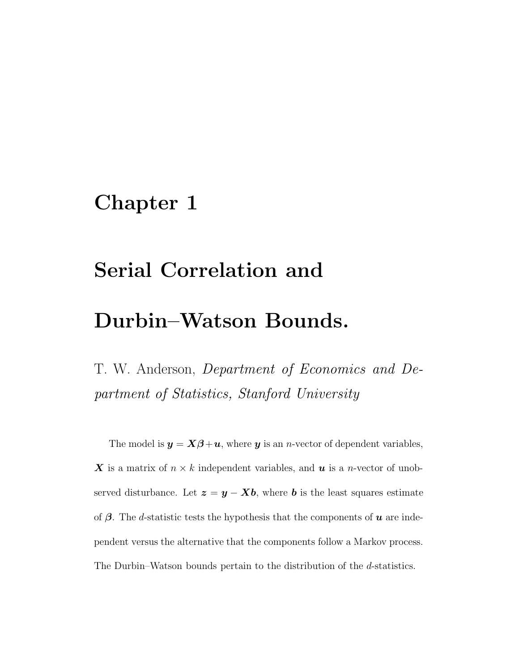### Chapter 1

## Serial Correlation and

### Durbin–Watson Bounds.

T. W. Anderson, Department of Economics and Department of Statistics, Stanford University

The model is  $y = X\beta + u$ , where y is an *n*-vector of dependent variables, X is a matrix of  $n \times k$  independent variables, and  $u$  is a *n*-vector of unobserved disturbance. Let  $z = y - Xb$ , where b is the least squares estimate of  $\beta$ . The d-statistic tests the hypothesis that the components of **u** are independent versus the alternative that the components follow a Markov process. The Durbin–Watson bounds pertain to the distribution of the d-statistics.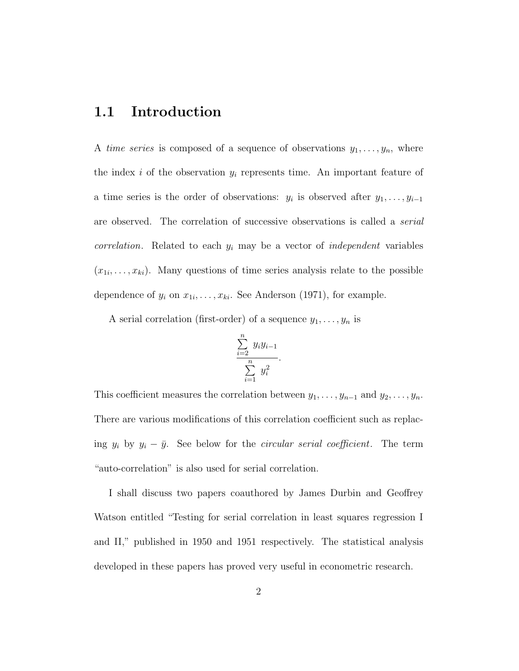#### 1.1 Introduction

A time series is composed of a sequence of observations  $y_1, \ldots, y_n$ , where the index  $i$  of the observation  $y_i$  represents time. An important feature of a time series is the order of observations:  $y_i$  is observed after  $y_1, \ldots, y_{i-1}$ are observed. The correlation of successive observations is called a serial *correlation*. Related to each  $y_i$  may be a vector of *independent* variables  $(x_{1i},\ldots,x_{ki})$ . Many questions of time series analysis relate to the possible dependence of  $y_i$  on  $x_{1i}, \ldots, x_{ki}$ . See Anderson (1971), for example.

A serial correlation (first-order) of a sequence  $y_1, \ldots, y_n$  is

$$
\frac{\sum\limits_{i=2}^{n} y_i y_{i-1}}{\sum\limits_{i=1}^{n} y_i^2}.
$$

This coefficient measures the correlation between  $y_1, \ldots, y_{n-1}$  and  $y_2, \ldots, y_n$ . There are various modifications of this correlation coefficient such as replacing  $y_i$  by  $y_i - \bar{y}$ . See below for the *circular serial coefficient*. The term "auto-correlation" is also used for serial correlation.

I shall discuss two papers coauthored by James Durbin and Geoffrey Watson entitled "Testing for serial correlation in least squares regression I and II," published in 1950 and 1951 respectively. The statistical analysis developed in these papers has proved very useful in econometric research.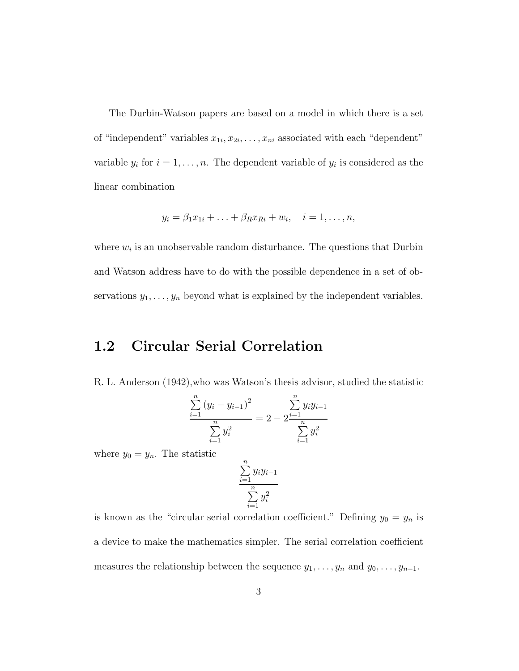The Durbin-Watson papers are based on a model in which there is a set of "independent" variables  $x_{1i}, x_{2i}, \ldots, x_{ni}$  associated with each "dependent" variable  $y_i$  for  $i = 1, ..., n$ . The dependent variable of  $y_i$  is considered as the linear combination

$$
y_i = \beta_1 x_{1i} + \ldots + \beta_R x_{Ri} + w_i, \quad i = 1, \ldots, n,
$$

where  $w_i$  is an unobservable random disturbance. The questions that Durbin and Watson address have to do with the possible dependence in a set of observations  $y_1, \ldots, y_n$  beyond what is explained by the independent variables.

#### 1.2 Circular Serial Correlation

R. L. Anderson (1942),who was Watson's thesis advisor, studied the statistic

$$
\frac{\sum_{i=1}^{n} (y_i - y_{i-1})^2}{\sum_{i=1}^{n} y_i^2} = 2 - 2 \frac{\sum_{i=1}^{n} y_i y_{i-1}}{\sum_{i=1}^{n} y_i^2}
$$

where  $y_0 = y_n$ . The statistic

$$
\frac{\sum_{i=1}^{n} y_i y_{i-1}}{\sum_{i=1}^{n} y_i^2}
$$

is known as the "circular serial correlation coefficient." Defining  $y_0 = y_n$  is a device to make the mathematics simpler. The serial correlation coefficient measures the relationship between the sequence  $y_1, \ldots, y_n$  and  $y_0, \ldots, y_{n-1}$ .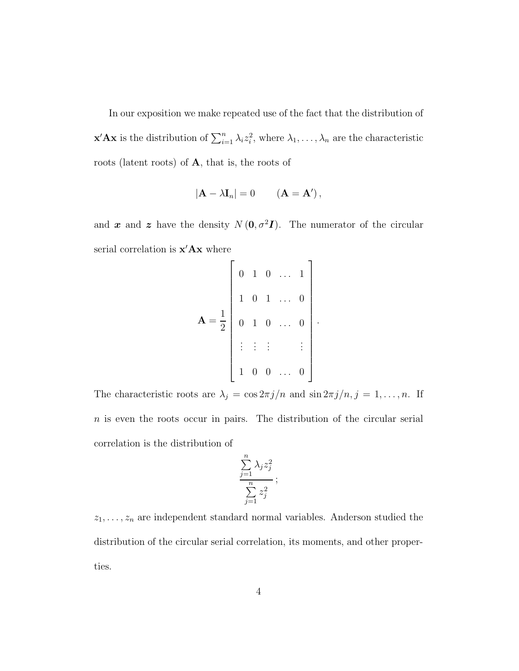In our exposition we make repeated use of the fact that the distribution of **x'Ax** is the distribution of  $\sum_{i=1}^{n} \lambda_i z_i^2$ <sup>2</sup>, where  $\lambda_1, \ldots, \lambda_n$  are the characteristic roots (latent roots) of A, that is, the roots of

$$
|\mathbf{A} - \lambda \mathbf{I}_n| = 0 \qquad (\mathbf{A} = \mathbf{A}'),
$$

and x and z have the density  $N(\mathbf{0}, \sigma^2 \mathbf{I})$ . The numerator of the circular serial correlation is  $\mathbf{x}'\mathbf{A}\mathbf{x}$  where

$$
\mathbf{A} = \frac{1}{2} \begin{bmatrix} 0 & 1 & 0 & \dots & 1 \\ 1 & 0 & 1 & \dots & 0 \\ 0 & 1 & 0 & \dots & 0 \\ \vdots & \vdots & \vdots & & \vdots \\ 1 & 0 & 0 & \dots & 0 \end{bmatrix}.
$$

The characteristic roots are  $\lambda_j = \cos 2\pi j/n$  and  $\sin 2\pi j/n$ ,  $j = 1, ..., n$ . If  $n$  is even the roots occur in pairs. The distribution of the circular serial correlation is the distribution of

$$
\frac{\sum_{j=1}^{n} \lambda_j z_j^2}{\sum_{j=1}^{n} z_j^2};
$$

 $z_1, \ldots, z_n$  are independent standard normal variables. Anderson studied the distribution of the circular serial correlation, its moments, and other properties.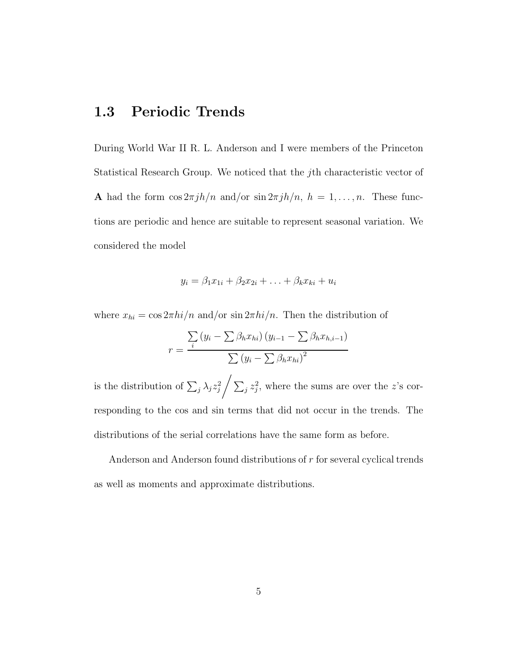#### 1.3 Periodic Trends

During World War II R. L. Anderson and I were members of the Princeton Statistical Research Group. We noticed that the jth characteristic vector of A had the form  $\cos 2\pi j h/n$  and/or  $\sin 2\pi j h/n$ ,  $h = 1, ..., n$ . These functions are periodic and hence are suitable to represent seasonal variation. We considered the model

$$
y_i = \beta_1 x_{1i} + \beta_2 x_{2i} + \ldots + \beta_k x_{ki} + u_i
$$

where  $x_{hi} = \cos 2\pi h i / n$  and/or  $\sin 2\pi h i / n$ . Then the distribution of

$$
r = \frac{\sum_{i} (y_i - \sum \beta_h x_{hi}) (y_{i-1} - \sum \beta_h x_{h,i-1})}{\sum (y_i - \sum \beta_h x_{hi})^2}
$$

is the distribution of  $\sum_j \lambda_j z_j^2 / \sum_j z_j^2$ , where the sums are over the z's corresponding to the cos and sin terms that did not occur in the trends. The distributions of the serial correlations have the same form as before.

Anderson and Anderson found distributions of r for several cyclical trends as well as moments and approximate distributions.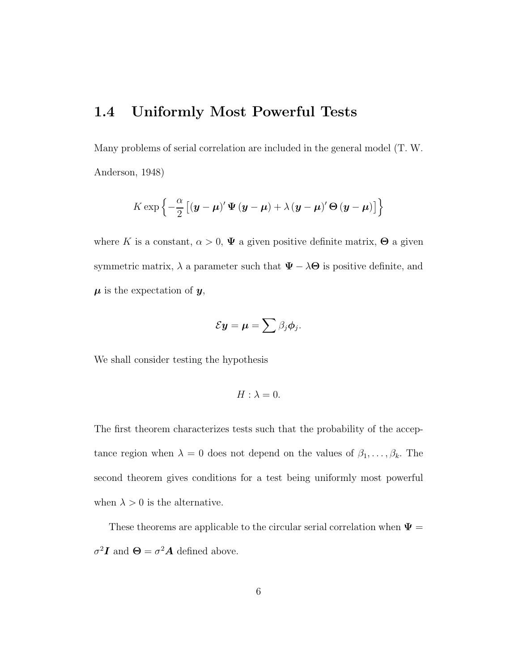### 1.4 Uniformly Most Powerful Tests

Many problems of serial correlation are included in the general model (T. W. Anderson, 1948)

$$
K \exp \left\{ -\frac{\alpha}{2} \left[ \left( \boldsymbol{y} - \boldsymbol{\mu} \right)' \boldsymbol{\Psi} \left( \boldsymbol{y} - \boldsymbol{\mu} \right) + \lambda \left( \boldsymbol{y} - \boldsymbol{\mu} \right)' \boldsymbol{\Theta} \left( \boldsymbol{y} - \boldsymbol{\mu} \right) \right] \right\}
$$

where K is a constant,  $\alpha > 0$ ,  $\Psi$  a given positive definite matrix,  $\Theta$  a given symmetric matrix,  $\lambda$  a parameter such that  $\Psi - \lambda \Theta$  is positive definite, and  $\mu$  is the expectation of  $y$ ,

$$
\mathcal{E} \boldsymbol{y} = \boldsymbol{\mu} = \sum \beta_j \boldsymbol{\phi}_j.
$$

We shall consider testing the hypothesis

$$
H: \lambda = 0.
$$

The first theorem characterizes tests such that the probability of the acceptance region when  $\lambda = 0$  does not depend on the values of  $\beta_1, \ldots, \beta_k$ . The second theorem gives conditions for a test being uniformly most powerful when  $\lambda > 0$  is the alternative.

These theorems are applicable to the circular serial correlation when  $\Psi =$  $\sigma^2 I$  and  $\Theta = \sigma^2 A$  defined above.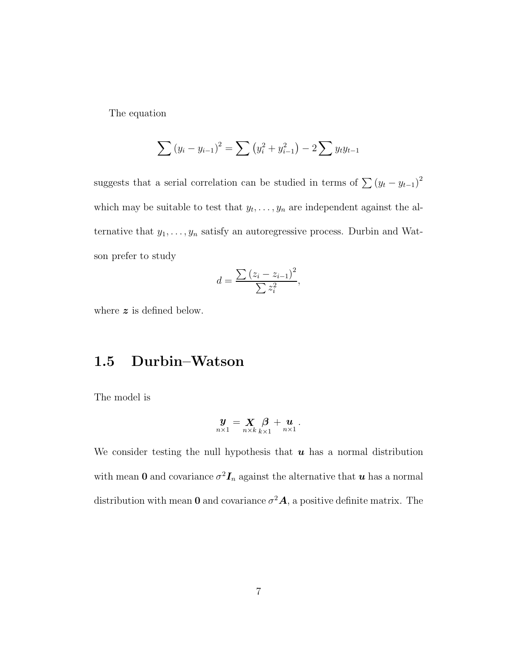The equation

$$
\sum (y_i - y_{i-1})^2 = \sum (y_i^2 + y_{i-1}^2) - 2 \sum y_t y_{t-1}
$$

suggests that a serial correlation can be studied in terms of  $\sum (y_t - y_{t-1})^2$ which may be suitable to test that  $y_t, \ldots, y_n$  are independent against the alternative that  $y_1, \ldots, y_n$  satisfy an autoregressive process. Durbin and Watson prefer to study

$$
d = \frac{\sum (z_i - z_{i-1})^2}{\sum z_i^2},
$$

where  $z$  is defined below.

#### 1.5 Durbin–Watson

The model is

$$
\mathbf{y}_{n\times 1} = \mathbf{X}_{n\times k} \mathbf{B}_{k\times 1} + \mathbf{u}_{n\times 1}.
$$

We consider testing the null hypothesis that  $u$  has a normal distribution with mean 0 and covariance  $\sigma^2 I_n$  against the alternative that  $u$  has a normal distribution with mean **0** and covariance  $\sigma^2 \mathbf{A}$ , a positive definite matrix. The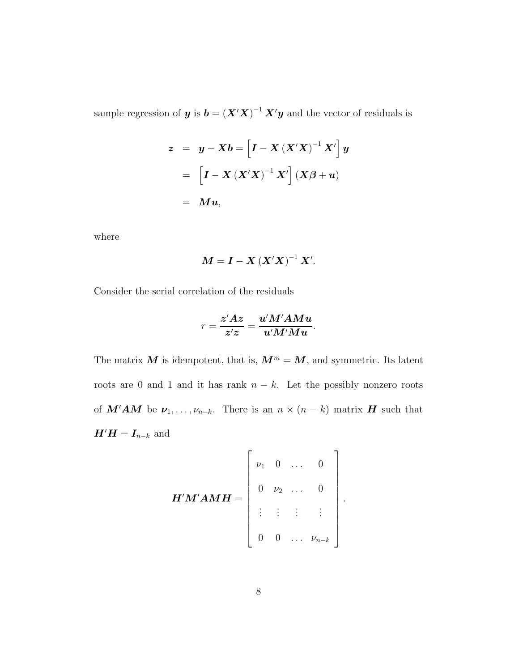sample regression of **y** is  $\boldsymbol{b} = (\boldsymbol{X}'\boldsymbol{X})^{-1}\boldsymbol{X}'\boldsymbol{y}$  and the vector of residuals is

$$
z = y - Xb = \left[ I - X (X'X)^{-1} X' \right] y
$$

$$
= \left[ I - X (X'X)^{-1} X' \right] (X\beta + u)
$$

$$
= Mu,
$$

where

$$
M=I-X\left( X'X\right) ^{-1}X'.
$$

Consider the serial correlation of the residuals

$$
r = \frac{z'Az}{z'z} = \frac{u'M'AMu}{u'M'Mu}.
$$

The matrix  $M$  is idempotent, that is,  $M^m = M$ , and symmetric. Its latent roots are 0 and 1 and it has rank  $n - k$ . Let the possibly nonzero roots of  $M'AM$  be  $\nu_1, \ldots, \nu_{n-k}$ . There is an  $n \times (n-k)$  matrix H such that  $H'H = I_{n-k}$  and

$$
\boldsymbol{H}'\boldsymbol{M}'\boldsymbol{A}\boldsymbol{M}\boldsymbol{H} = \begin{bmatrix} \nu_1 & 0 & \dots & 0 \\ 0 & \nu_2 & \dots & 0 \\ \vdots & \vdots & \vdots & \vdots \\ 0 & 0 & \dots & \nu_{n-k} \end{bmatrix}.
$$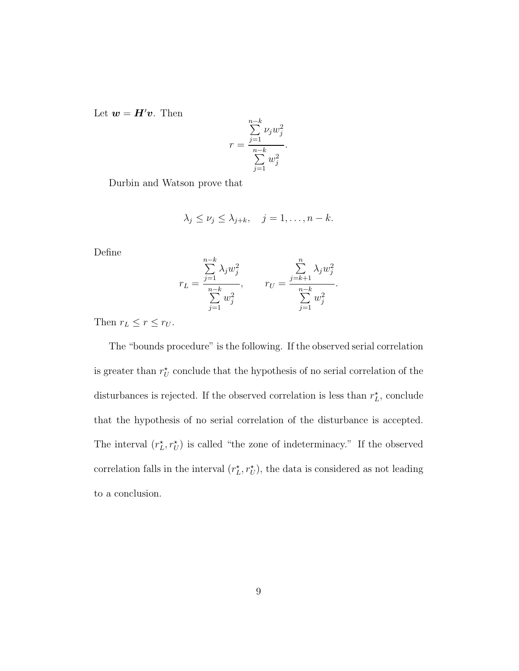Let  $\boldsymbol{w} = \boldsymbol{H}'\boldsymbol{v}$ . Then

$$
r = \frac{\sum\limits_{j=1}^{n-k} \nu_j w_j^2}{\sum\limits_{j=1}^{n-k} w_j^2}.
$$

Durbin and Watson prove that

$$
\lambda_j \leq \nu_j \leq \lambda_{j+k}, \quad j=1,\ldots,n-k.
$$

Define

$$
r_L = \frac{\sum_{j=1}^{n-k} \lambda_j w_j^2}{\sum_{j=1}^{n-k} w_j^2}, \qquad r_U = \frac{\sum_{j=k+1}^{n} \lambda_j w_j^2}{\sum_{j=1}^{n-k} w_j^2}.
$$

Then  $r_L \leq r \leq r_U$ .

The "bounds procedure" is the following. If the observed serial correlation is greater than  $r_U^{\star}$  conclude that the hypothesis of no serial correlation of the disturbances is rejected. If the observed correlation is less than  $r_L^*$ , conclude that the hypothesis of no serial correlation of the disturbance is accepted. The interval  $(r_L^*, r_U^*)$  is called "the zone of indeterminacy." If the observed correlation falls in the interval  $(r_L^*, r_U^*)$ , the data is considered as not leading to a conclusion.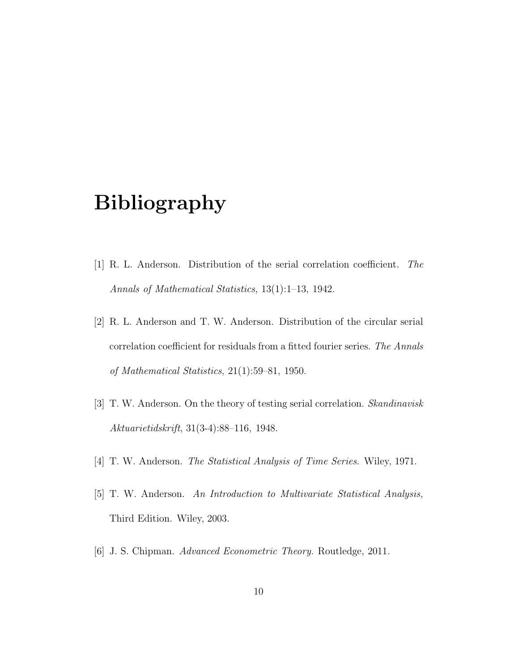# Bibliography

- [1] R. L. Anderson. Distribution of the serial correlation coefficient. The Annals of Mathematical Statistics, 13(1):1–13, 1942.
- [2] R. L. Anderson and T. W. Anderson. Distribution of the circular serial correlation coefficient for residuals from a fitted fourier series. The Annals of Mathematical Statistics, 21(1):59–81, 1950.
- [3] T. W. Anderson. On the theory of testing serial correlation. Skandinavisk Aktuarietidskrift, 31(3-4):88–116, 1948.
- [4] T. W. Anderson. *The Statistical Analysis of Time Series*. Wiley, 1971.
- [5] T. W. Anderson. An Introduction to Multivariate Statistical Analysis, Third Edition. Wiley, 2003.
- [6] J. S. Chipman. Advanced Econometric Theory. Routledge, 2011.